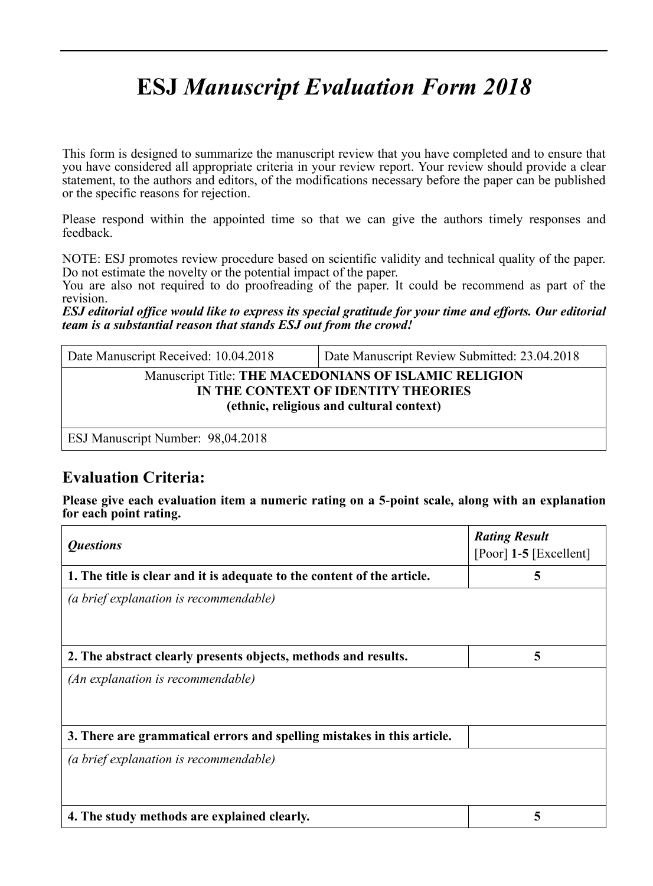# **ESJ** *Manuscript Evaluation Form 2018*

This form is designed to summarize the manuscript review that you have completed and to ensure that you have considered all appropriate criteria in your review report. Your review should provide a clear statement, to the authors and editors, of the modifications necessary before the paper can be published or the specific reasons for rejection.

Please respond within the appointed time so that we can give the authors timely responses and feedback.

NOTE: ESJ promotes review procedure based on scientific validity and technical quality of the paper. Do not estimate the novelty or the potential impact of the paper.

You are also not required to do proofreading of the paper. It could be recommend as part of the revision.

*ESJ editorial office would like to express its special gratitude for your time and efforts. Our editorial team is a substantial reason that stands ESJ out from the crowd!*

| Date Manuscript Received: 10.04.2018                                                                                                     | Date Manuscript Review Submitted: 23.04.2018 |  |
|------------------------------------------------------------------------------------------------------------------------------------------|----------------------------------------------|--|
| Manuscript Title: THE MACEDONIANS OF ISLAMIC RELIGION<br>IN THE CONTEXT OF IDENTITY THEORIES<br>(ethnic, religious and cultural context) |                                              |  |
|                                                                                                                                          |                                              |  |

ESJ Manuscript Number: 98,04.2018

## **Evaluation Criteria:**

**Please give each evaluation item a numeric rating on a 5-point scale, along with an explanation for each point rating.**

| <i><b>Questions</b></i>                                                 | <b>Rating Result</b><br>[Poor] 1-5 [Excellent] |
|-------------------------------------------------------------------------|------------------------------------------------|
| 1. The title is clear and it is adequate to the content of the article. | 5                                              |
| (a brief explanation is recommendable)                                  |                                                |
| 2. The abstract clearly presents objects, methods and results.          | 5                                              |
| (An explanation is recommendable)                                       |                                                |
| 3. There are grammatical errors and spelling mistakes in this article.  |                                                |
| (a brief explanation is recommendable)                                  |                                                |
| 4. The study methods are explained clearly.                             |                                                |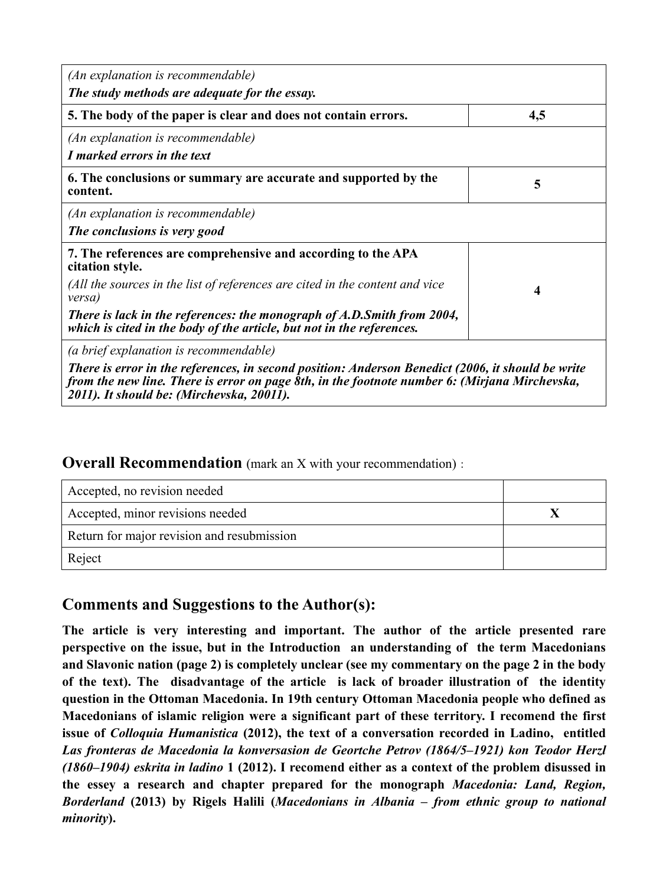| (An explanation is recommendable)<br>The study methods are adequate for the essay.                                                                                                                                                              |     |
|-------------------------------------------------------------------------------------------------------------------------------------------------------------------------------------------------------------------------------------------------|-----|
| 5. The body of the paper is clear and does not contain errors.                                                                                                                                                                                  | 4,5 |
| (An explanation is recommendable)<br>I marked errors in the text                                                                                                                                                                                |     |
| 6. The conclusions or summary are accurate and supported by the<br>content.                                                                                                                                                                     | 5   |
| (An explanation is recommendable)<br>The conclusions is very good                                                                                                                                                                               |     |
| 7. The references are comprehensive and according to the APA<br>citation style.                                                                                                                                                                 |     |
| (All the sources in the list of references are cited in the content and vice<br>versa)                                                                                                                                                          | 4   |
| There is lack in the references: the monograph of A.D.Smith from 2004,<br>which is cited in the body of the article, but not in the references.                                                                                                 |     |
| (a brief explanation is recommendable)                                                                                                                                                                                                          |     |
| There is error in the references, in second position: Anderson Benedict (2006, it should be write<br>from the new line. There is error on page 8th, in the footnote number 6: (Mirjana Mirchevska,<br>2011). It should be: (Mirchevska, 20011). |     |

#### **Overall Recommendation** (mark an X with your recommendation):

| Accepted, no revision needed               |  |
|--------------------------------------------|--|
| Accepted, minor revisions needed           |  |
| Return for major revision and resubmission |  |
| Reject                                     |  |

## **Comments and Suggestions to the Author(s):**

**The article is very interesting and important. The author of the article presented rare perspective on the issue, but in the Introduction an understanding of the term Macedonians and Slavonic nation (page 2) is completely unclear (see my commentary on the page 2 in the body of the text). The disadvantage of the article is lack of broader illustration of the identity question in the Ottoman Macedonia. In 19th century Ottoman Macedonia people who defined as Macedonians of islamic religion were a significant part of these territory. I recomend the first issue of** *Colloquia Humanistica* **(2012), the text of a conversation recorded in Ladino, entitled**  *Las fronteras de Macedonia la konversasion de Geortche Petrov (1864/5–1921) kon Teodor Herzl (1860–1904) eskrita in ladino* **1 (2012). I recomend either as a context of the problem disussed in the essey a research and chapter prepared for the monograph** *Macedonia: Land, Region, Borderland* **(2013) by Rigels Halili (***Macedonians in Albania – from ethnic group to national minority***).**